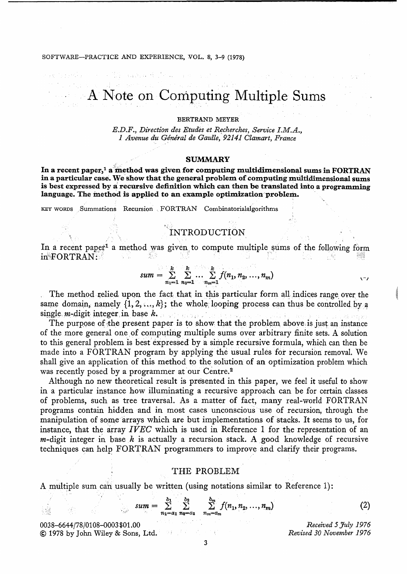#### SOFTWARE-PRACTICE AND EXPERIENCE, VOL. 8, 3-9 (1978)

e e diferencia e de

# A Note on Computing Multiple Sums

#### BERTRAND MEYER

 $E.D.F.,$  *Direction des Etudes et Recherches, Service I.M.A.*, 1 *Avenue du* G~neral *de Gaulle,* 92141 *Clamart, France* 

#### SUMMARY

In a recent paper,<sup>1</sup> a method was given for computing multidimensional sums in FORTRAN in a particular case. We show that the general problem of computing multidimensional sums is best expressed by a recursive definition which can then be translated into a programming language. The method is applied to an example optimization problem.

KEY WORDS Summations Recursion FORTRAN Combinatorialalgorithms

### INTRODUCTION

In a recent paper<sup>1</sup> a method was given to compute multiple sums of the following form  $\begin{array}{c}\n\text{IN} \text{TRODUCTION} \\
\text{In a recent paper}^1 \text{ a method was given to compute multiple in FORTRAN: \n\end{array}$ 

$$
sum = \sum_{n_1=1}^{k} \sum_{n_2=1}^{k} \dots \sum_{n_m=1}^{k} f(n_1, n_2, \dots, n_m)
$$

The method relied upon the fact that in this particular form all indices range over the same domain, namely  $\{1, 2, ..., k\}$ ; the whole looping process can thus be controlled by a single. m-digit integer in base k.

The purpose of the present paper is to show that the problem, above, is just an instance of the more general one of computing multiple sums over arbitrary finite sets. A solution to this general problem is best expressed by a simple recursive formula, which can then be made into a FORTRAN program by applying the usual rules for recursion removal. We shall give an application of this method to the solution of an optimization problem which was recently posed by a programmer at our Centre.<sup>2</sup>

Although no new theoretical result is presented in this paper, we feel it useful to show in a particular instance how illuminating a recursive approach can be for certain classes of problems, such as tree traversal. As a matter of fact, many real-world FORTRAN programs contain hidden and in most cases unconscious' use of recursion, through the manipulation of some arrays which are but implementations of stacks. It seems to us, for instance, that the array *IVEC* which is used in Reference 1 for the representation of an  $m$ -digit integer in base  $k$  is actually a recursion stack. A good knowledge of recursive techniques can help' FORTRAN programmers to improve and clarify their programs.

#### THE PROBLEM

A multiple sum can usually be written (using notations similar to Reference 1):

$$
sum = \sum_{n_1=a_1}^{b_1} \sum_{n_2=a_2}^{b_2} \sum_{n_m=a_m}^{b_m} f(n_1, n_2, \dots, n_m)
$$
 (2)

Administration 0038-6644/78/0108-0003\$01.00 © 1978 by John Wiley & Sons, Ltd.

*Received* 5 *July* 1976 *Revised 30 November 1976* 

"

 $\pm$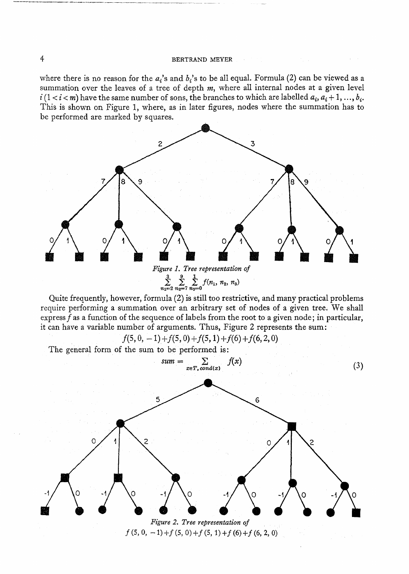#### 4 BERTRAND MEYER  $\sim 100$

where there is no reason for the  $a_i$ 's and  $b_i$ 's to be all equal. Formula (2) can be viewed as a summation over the leaves of a tree of depth *m,* where all internal nodes at a given level  $i (1 < i < m)$  have the same number of sons, the branches to which are labelled  $a_i, a_i + 1, ..., b_i$ . This is shown on Figure 1, where, as in later figures, nodes where the summation has to be performed are marked by squares.



Quite frequently, however, formula (2) is still too restrictive, and many practical problems require performing a summation over an arbitrary set of nodes of a given tree; We shall express f as a function of the sequence of labels from the root to a given node; in particular, it can have a variable number of arguments. Thus, Figure 2 represents the sum:

 $f(5,0,-1)+f(5,0)+f(5,1)+f(6)+f(6,2,0)$ 

The general form of the sum to be performed is:

*sum* = 1: *lex)* u:;eT. cond(x) (3) *Figure* 2. *Tree representation 01 f(5,0,* -1)+1(5,0)+1(5, 1) *+f(6)+f* (6, 2, 0)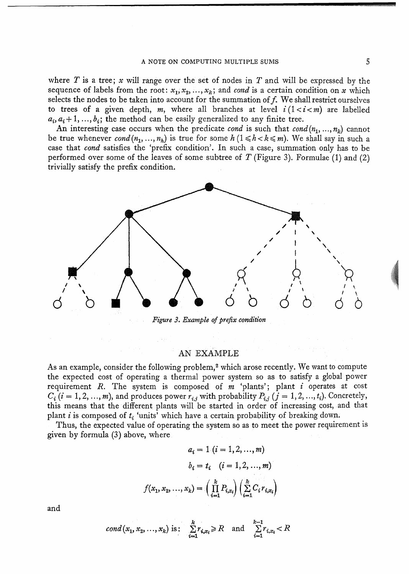where *T* is a tree; *x* will range over the set of nodes in *T* and will be expressed by the sequence of labels from the root:  $x_1, x_2, ..., x_k$ ; and *cond* is a certain condition on *x* which selects the nodes to be taken into account for the summation of  $f$ . We shall restrict ourselves to trees of a given depth, *m*, where all branches at level  $i(1 < i < m)$  are labelled  $a_i, a_i + 1, \ldots, b_i$ ; the method can be easily generalized to any finite tree.

An interesting case occurs when the predicate *cond* is such that  $\text{cond}(n_1, ..., n_k)$  cannot be true whenever  $\text{cond}(n_1, ..., n_h)$  is true for some  $h(1 \leq h \leq k \leq m)$ . We shall say in such a case that *cond* satisfies the 'prefix condition', In such a case, summation only has to be performed over some of the leaves of some subtree of *T* (Figure 3), Formulae (1) and (2) trivially satisfy the prefix condition.



*Figure* 3. *Example of prefix condition* 

#### AN EXAMPLE

As an example, consider the following problem,<sup>2</sup> which arose recently. We want to compute the expected cost of operating a thermal power system so as to satisfy a global power requirement *R.* The system is composed of m 'plants'; plant *i* operates at cost  $C_i$  (i = 1, 2, ..., m), and produces power  $r_{i,j}$  with probability  $P_{i,j}$  (j = 1, 2, ...,  $t_i$ ). Concretely, this means that the different plants will be started in order of increasing cost, and that plant i is composed of  $t_i$  'units' which have a certain probability of breaking down.

Thus, the expected value of operating the system so as to meet the power requirement is given by formula (3) above, where

$$
a_i = 1 \ (i = 1, 2, ..., m)
$$

$$
b_i = t_i \quad (i = 1, 2, ..., m)
$$

$$
(x_1, x_2, ..., x_k) = \left(\prod_{i=1}^k P_{i,x_i}\right) \left(\sum_{i=1}^k C_i r_{i,x_i}\right)
$$

and

$$
cond(x_1, x_2, ..., x_k) \text{ is: } \sum_{i=1}^k r_{i,x_i} \ge R \text{ and } \sum_{i=1}^{k-1} r_{i,x_i} < R
$$

 $\boldsymbol{f}$ 

**LEE a:**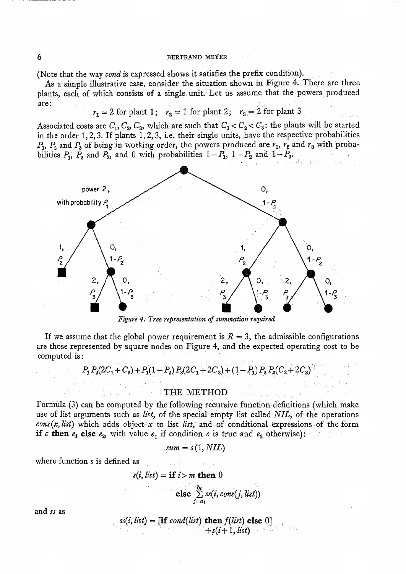#### 6 BERTRAND MEYER

(Note that the way *cond* is expressed shows it satisfies the prefix condition).

As a simple illustrative case, consider the situation shown in Figure 4. There are three plants, each of which consists of a single unit. Let us assume that the powers produced are:

 $r_1 = 2$  for plant 1;  $r_2 = 1$  for plant 2;  $r_3 = 2$  for plant 3

Associated costs are  $C_1$ ,  $C_2$ ,  $C_3$ , which are such that  $C_1 < C_2 < C_3$ : the plants will be started in the order  $1, 2, 3$ . If plants  $1, 2, 3$ , i.e. their single units, have the respective probabilities  $P_1$ ,  $P_2$  and  $P_3$  of being in working order, the powers produced are  $r_1$ ,  $r_2$  and  $r_3$  with proba-<br>bilities  $P_1$ ,  $P_2$  and  $P_3$ , and 0 with probabilities  $1-P_1$ ,  $1-P_2$  and  $1-P_3$ . bilities  $P_1$ ,  $P_2$  and  $P_3$ , and 0 with probabilities  $1-P_1$ ,  $1-P_2$  and  $1-P_3$ .



*Figure* 4. *Tree representation of summation required* 

If we assume that the global power requirement is  $R = 3$ , the admissible configurations are those represented by square nodes on Figure 4, and the expected operating cost to be computed is: *Figure 4. Tree representation of summation required*<br>me that the global power requirement is  $R = 3$ , the admissible con<br>resented by square nodes on Figure 4, and the expected operating<br>:<br> $P_1 P_2(2C_1 + C_2) + P_1(1 - P_2) P_3(2$ 

$$
P_1 P_2 (2C_1 + C_2) + P_1 (1 - P_2) P_3 (2C_1 + 2C_3) + (1 - P_1) P_2 P_3 (C_2 + 2C_3)
$$

## THE METHOD expression and perturbation

Formula (3) can be computed by the following recursive function· definitions (which make use of list arguments such as *list,* of the special' empty list called *NIL,* of the operations *cons (x, list)* which adds object *x* to list *list*, and of conditional expressions of the form **if** *c* then  $e_1$  else  $e_2$ , with value  $e_1$  if condition *c* is true and  $e_2$  otherwise):

$$
sum = s(1, NIL)
$$

where function *s* is defined as **solution**  $\mathbf{r}$  is the set of  $\mathbf{r}$ 

 $\approx k_0$  , positive

$$
s(i, list) = \textbf{if } i > m \textbf{ then } 0
$$
  

$$
\textbf{else } \sum_{j=a_i}^{b_i} s(s, cons(j, list))
$$

and *ss* as

 $ss(i, list) = [\textbf{if } cond(list) \textbf{ then } f(list) \textbf{ else } 0]$  $+s(i+1, list)$  .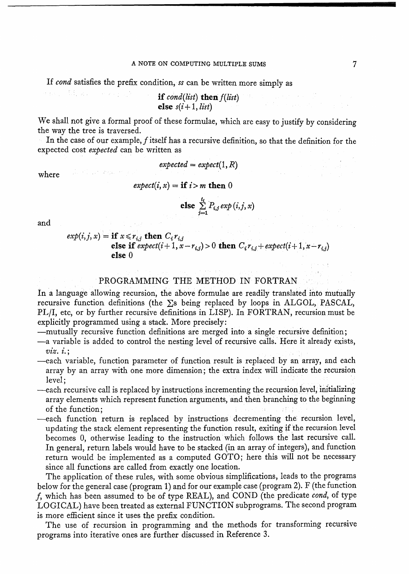If *cond* satisfies the prefix condition, *ss* can be written more simply as

せいこう 現 ステットマッシュ if  $cond(list)$  then  $f(list)$ else  $s(i+1, list)$ 

We shall not give a formal proof of these formulae, which are easy to justify by considering the way the tree is traversed.

In the case of our example, f itself has a recursive definition, so that the definition for the expected cost *expected* can be written as

 $expected = expect(1, R)$ 

where

dia Pilipina Agusto

 $expect(i, x) = \textbf{if } i > m \textbf{ then } 0$ 

else 
$$
\sum_{j=1}^{t_i} P_{i,j} \exp(i,j,x)
$$

and

 $exp(i, j, x) =$  if  $x \le r_{i,j}$  then  $C_i r_{i,j}$ else if  $expect(i+1, x-r_{i,j}) > 0$  then  $C_i r_{i,j} + expect(i+1, x-r_{i,j})$ else 0

#### PROGRAMMING THE METHOD IN FORTRAN

In a language allowing recursion, the above formulae are readily translated into mutually recursive function definitions (the  $\Sigma$ s being replaced by loops in ALGOL, PASCAL, *PL/I, etc, or by further recursive definitions in LISP). In FORTRAN, recursion must be* explicitly programmed using a stack. More precisely:

-mutually recursive function definitions are merged into a single recursive definition;

- -a variable is added to control the nesting level of recursive calls. Here it already exists, *vzz. z.;*
- -each variable, function parameter of function result is replaced by an array, and each array by an array with one more dimension; the extra index will indicate the recursion level;
- -each recursive call is replaced by instructions incrementing the recursion level, initializing array elements which represent function arguments, and then branching to the beginning of the function;
- -each function return is replaced by instructions decrementing the recursion level, updating the stack element representing the function result, exiting if 'the recursion level becomes 0, otherwise leading to the instruction which follows the last recursive call. In general, return labels would have to be stacked (in an array of integers), and function return would be implemented as a computed GOTO; here this will not be necessary since all functions are called from exactly one location.

The application of these rules, with some obvious simplifications, leads to the programs below for the general case (program 1) and for our example case (program 2). F (the function j, which has been assumed to be of type REAL), and COND (the predicate *cond,* of type LOGICAL) have been treated as external FUNCTION subprograms. The second program is more efficient since it uses the prefix condition.

The use of recursion in programming and the methods for transforming recursive programs into iterative ones are further discussed in Reference 3.

 $\label{eq:2} \mathcal{L}_{\text{G}}(\mathbf{y},\mathbf{y}) = \mathcal{L}_{\text{G}}(\mathbf{y},\mathbf{y}) = \mathcal{L}_{\text{G}}(\mathbf{y},\mathbf{y})$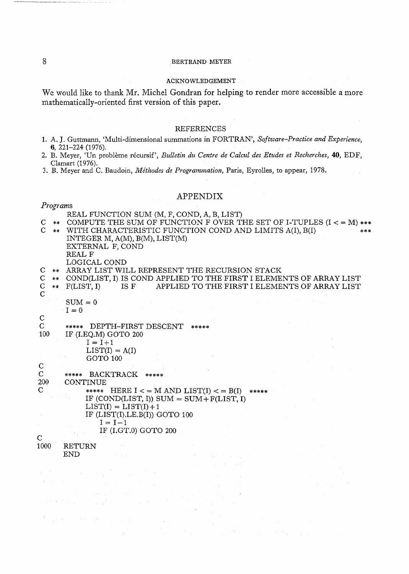#### 8 BERTRAND MEYER

#### ACKNOWLEDGEMENT

We would like to thank Mr. Michel Gondran for helping to render more accessible a more mathematically-oriented first version of this paper.

#### REFERENCES

- 1. A. J. Guttmann, (Multi-dimensional summations in FORTRAN', *Software-Practice and Experience,*  6,221-224 (1976).
- 2. B. Meyer, 'Un probleme recursif', *Bulletin du Centre de Calcul des Etudes et Recherches,* 40, EDF, Clamart (1976).

a la

3. B. Meyer and C. Baudoin, *Methodes de Programmation,* Paris, Eyrolles, to appear, 1978.

#### APPENDIX

#### *Programs*

|              | REAL FUNCTION SUM (M, F, COND, A, B, LIST)                                |
|--------------|---------------------------------------------------------------------------|
| C            | ** COMPUTE THE SUM OF FUNCTION F OVER THE SET OF I-TUPLES $(I < = M)$ *** |
|              | ** WITH CHARACTERISTIC FUNCTION COND AND LIMITS A(I), B(I)<br>***         |
|              | INTEGER M, $A(M)$ , $B(M)$ , $LIST(M)$                                    |
|              | EXTERNAL F, COND                                                          |
|              | REAL F                                                                    |
|              | LOGICAL COND                                                              |
|              | ** ARRAY LIST WILL REPRESENT THE RECURSION STACK                          |
| C.           | ** COND(LIST, I) IS COND APPLIED TO THE FIRST I ELEMENTS OF ARRAY LIST    |
| $\mathbf C$  | ** F(LIST, I) IS F APPLIED TO THE FIRST I ELEMENTS OF ARRAY LIST          |
| $\mathbf C$  |                                                                           |
|              | $SUM = 0$                                                                 |
|              | $I = 0$                                                                   |
| $\mathsf{C}$ |                                                                           |
| $\mathbf C$  | ***** DEPTH-FIRST DESCENT<br>*****                                        |
| 100          | IF (I.EQ.M) GOTO 200                                                      |
|              |                                                                           |
|              | $I = I+1$                                                                 |
|              | $LIST(I) = A(I)$                                                          |
|              | GOTO 100                                                                  |
| $\mathbf C$  |                                                                           |
| $\mathbf C$  | ***** BACKTRACK *****                                                     |
| 200          | <b>CONTINUE</b>                                                           |
| $\mathbf C$  | ***** HERE I < = M AND LIST(I) < = B(I) *****                             |
|              | IF (COND(LIST, I)) SUM = $SUM + F(LIST, I)$                               |
|              | $LIST(I) = LIST(I) + 1$                                                   |
|              | IF $(LIST(I),LE.B(I))$ GOTO 100                                           |
|              | $I = I - 1$                                                               |
|              | IF (I.GT.0) GOTO 200                                                      |
| $\mathbf C$  |                                                                           |
| 1000         | <b>RETURN</b>                                                             |

 $\epsilon$  )  $\epsilon$ 

END

e ancara constit

 $\label{eq:2.1} \frac{1}{\sqrt{2}}\int_{\mathbb{R}^2}\frac{1}{\sqrt{2}}\left(\frac{1}{\sqrt{2}}\right)^2\left(\frac{1}{\sqrt{2}}\right)^2\left(\frac{1}{\sqrt{2}}\right)^2\left(\frac{1}{\sqrt{2}}\right)^2\left(\frac{1}{\sqrt{2}}\right)^2\left(\frac{1}{\sqrt{2}}\right)^2.$ 

 $\label{eq:1} \mathcal{L}^{\mathcal{A}}(\mathcal{A},\mathcal{L}^{\mathcal{A}}_{\mathcal{A}}) = \mathcal{L}^{\mathcal{A}}_{\mathcal{A}}(\mathcal{A},\mathcal{L}^{\mathcal{A}}_{\mathcal{A}}) = \mathcal{L}^{\mathcal{A}}_{\mathcal{A}}(\mathcal{A},\mathcal{L}^{\mathcal{A}}_{\mathcal{A}})$ 

 $\frac{1}{2}$  ,  $\frac{1}{2}$  ,  $\frac{1}{2}$ 

 $\sim$   $\sim$